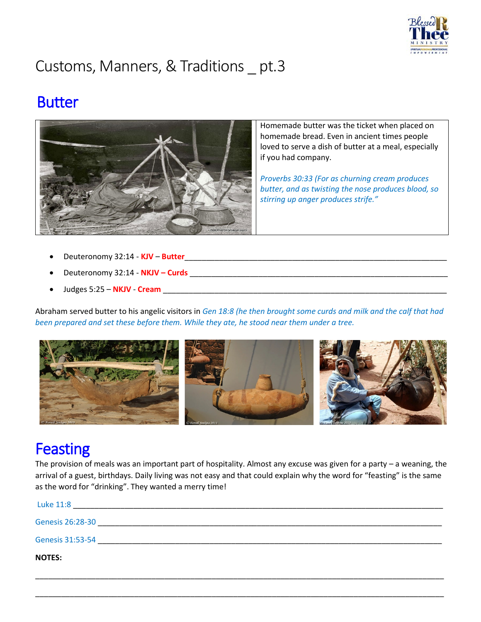

# Customs, Manners, & Traditions \_ pt.3

### **Butter**



Homemade butter was the ticket when placed on homemade bread. Even in ancient times people loved to serve a dish of butter at a meal, especially if you had company.

*Proverbs 30:33 (For as churning cream produces butter, and as twisting the nose produces blood, so stirring up anger produces strife."*

- Deuteronomy 32:14 **KJV Butter**
- Deuteronomy 32:14 **NKJV – Curds** \_\_\_\_\_\_\_\_\_\_\_\_\_\_\_\_\_\_\_\_\_\_\_\_\_\_\_\_\_\_\_\_\_\_\_\_\_\_\_\_\_\_\_\_\_\_\_\_\_\_\_\_\_\_\_\_\_\_\_\_
- Judges 5:25 **NKJV Cream** \_\_\_\_\_\_\_\_\_\_\_\_\_\_\_\_\_\_\_\_\_\_\_\_\_\_\_\_\_\_\_\_\_\_\_\_\_\_\_\_\_\_\_\_\_\_\_\_\_\_\_\_\_\_\_\_\_\_\_\_\_\_\_\_\_\_

Abraham served butter to his angelic visitors in *Gen 18:8 (he then brought some curds and milk and the calf that had been prepared and set these before them. While they ate, he stood near them under a tree.*



## **Feasting**

The provision of meals was an important part of hospitality. Almost any excuse was given for a party – a weaning, the arrival of a guest, birthdays. Daily living was not easy and that could explain why the word for "feasting" is the same as the word for "drinking". They wanted a merry time!

| Luke 11:8        |  |
|------------------|--|
| Genesis 26:28-30 |  |
| Genesis 31:53-54 |  |
| <b>NOTES:</b>    |  |

\_\_\_\_\_\_\_\_\_\_\_\_\_\_\_\_\_\_\_\_\_\_\_\_\_\_\_\_\_\_\_\_\_\_\_\_\_\_\_\_\_\_\_\_\_\_\_\_\_\_\_\_\_\_\_\_\_\_\_\_\_\_\_\_\_\_\_\_\_\_\_\_\_\_\_\_\_\_\_\_\_\_\_\_\_\_\_\_\_\_\_\_\_\_\_

\_\_\_\_\_\_\_\_\_\_\_\_\_\_\_\_\_\_\_\_\_\_\_\_\_\_\_\_\_\_\_\_\_\_\_\_\_\_\_\_\_\_\_\_\_\_\_\_\_\_\_\_\_\_\_\_\_\_\_\_\_\_\_\_\_\_\_\_\_\_\_\_\_\_\_\_\_\_\_\_\_\_\_\_\_\_\_\_\_\_\_\_\_\_\_